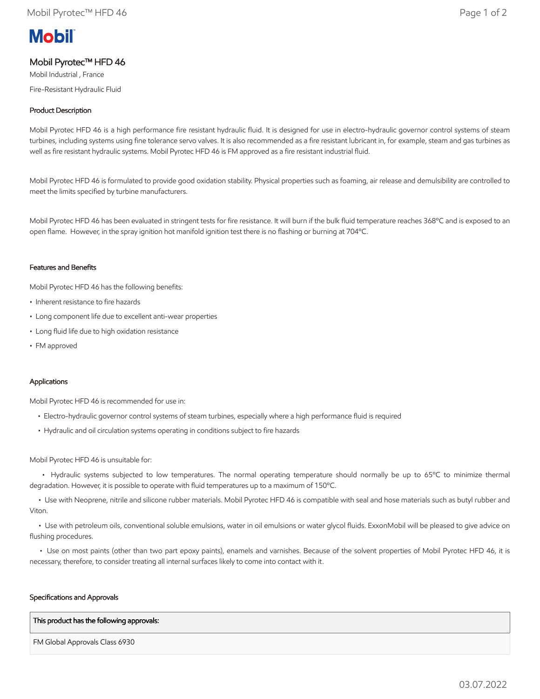# **Mobil**

# Mobil Pyrotec™ HFD 46

Mobil Industrial , France

Fire-Resistant Hydraulic Fluid

## Product Description

Mobil Pyrotec HFD 46 is a high performance fire resistant hydraulic fluid. It is designed for use in electro-hydraulic governor control systems of steam turbines, including systems using fine tolerance servo valves. It is also recommended as a fire resistant lubricant in, for example, steam and gas turbines as well as fire resistant hydraulic systems. Mobil Pyrotec HFD 46 is FM approved as a fire resistant industrial fluid.

Mobil Pyrotec HFD 46 is formulated to provide good oxidation stability. Physical properties such as foaming, air release and demulsibility are controlled to meet the limits specified by turbine manufacturers.

Mobil Pyrotec HFD 46 has been evaluated in stringent tests for fire resistance. It will burn if the bulk fluid temperature reaches 368°C and is exposed to an open flame. However, in the spray ignition hot manifold ignition test there is no flashing or burning at 704ºC.

## Features and Benefits

Mobil Pyrotec HFD 46 has the following benefits:

- Inherent resistance to fire hazards
- Long component life due to excellent anti-wear properties
- Long fluid life due to high oxidation resistance
- FM approved

## Applications

Mobil Pyrotec HFD 46 is recommended for use in:

- Electro-hydraulic governor control systems of steam turbines, especially where a high performance fluid is required
- Hydraulic and oil circulation systems operating in conditions subject to fire hazards

#### Mobil Pyrotec HFD 46 is unsuitable for:

• Hydraulic systems subjected to low temperatures. The normal operating temperature should normally be up to 65°C to minimize thermal degradation. However, it is possible to operate with fluid temperatures up to a maximum of 150ºC.

 • Use with Neoprene, nitrile and silicone rubber materials. Mobil Pyrotec HFD 46 is compatible with seal and hose materials such as butyl rubber and Viton.

 • Use with petroleum oils, conventional soluble emulsions, water in oil emulsions or water glycol fluids. ExxonMobil will be pleased to give advice on flushing procedures.

 • Use on most paints (other than two part epoxy paints), enamels and varnishes. Because of the solvent properties of Mobil Pyrotec HFD 46, it is necessary, therefore, to consider treating all internal surfaces likely to come into contact with it.

#### Specifications and Approvals

#### This product has the following approvals:

FM Global Approvals Class 6930